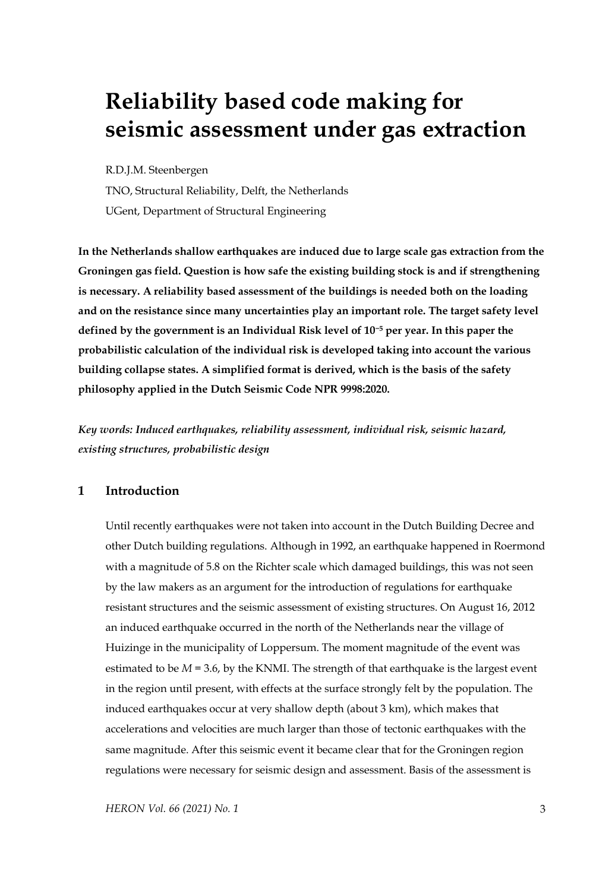# **Reliability based code making for seismic assessment under gas extraction**

R.D.J.M. Steenbergen

TNO, Structural Reliability, Delft, the Netherlands UGent, Department of Structural Engineering

**In the Netherlands shallow earthquakes are induced due to large scale gas extraction from the Groningen gas field. Question is how safe the existing building stock is and if strengthening is necessary. A reliability based assessment of the buildings is needed both on the loading and on the resistance since many uncertainties play an important role. The target safety level defined by the government is an Individual Risk level of 10−<sup>5</sup> per year. In this paper the probabilistic calculation of the individual risk is developed taking into account the various building collapse states. A simplified format is derived, which is the basis of the safety philosophy applied in the Dutch Seismic Code NPR 9998:2020.** 

*Key words: Induced earthquakes, reliability assessment, individual risk, seismic hazard, existing structures, probabilistic design*

# **1 Introduction**

Until recently earthquakes were not taken into account in the Dutch Building Decree and other Dutch building regulations. Although in 1992, an earthquake happened in Roermond with a magnitude of 5.8 on the Richter scale which damaged buildings, this was not seen by the law makers as an argument for the introduction of regulations for earthquake resistant structures and the seismic assessment of existing structures. On August 16, 2012 an induced earthquake occurred in the north of the Netherlands near the village of Huizinge in the municipality of Loppersum. The moment magnitude of the event was estimated to be  $M = 3.6$ , by the KNMI. The strength of that earthquake is the largest event in the region until present, with effects at the surface strongly felt by the population. The induced earthquakes occur at very shallow depth (about 3 km), which makes that accelerations and velocities are much larger than those of tectonic earthquakes with the same magnitude. After this seismic event it became clear that for the Groningen region regulations were necessary for seismic design and assessment. Basis of the assessment is

*HERON Vol. 66 (2021) No. 1* 3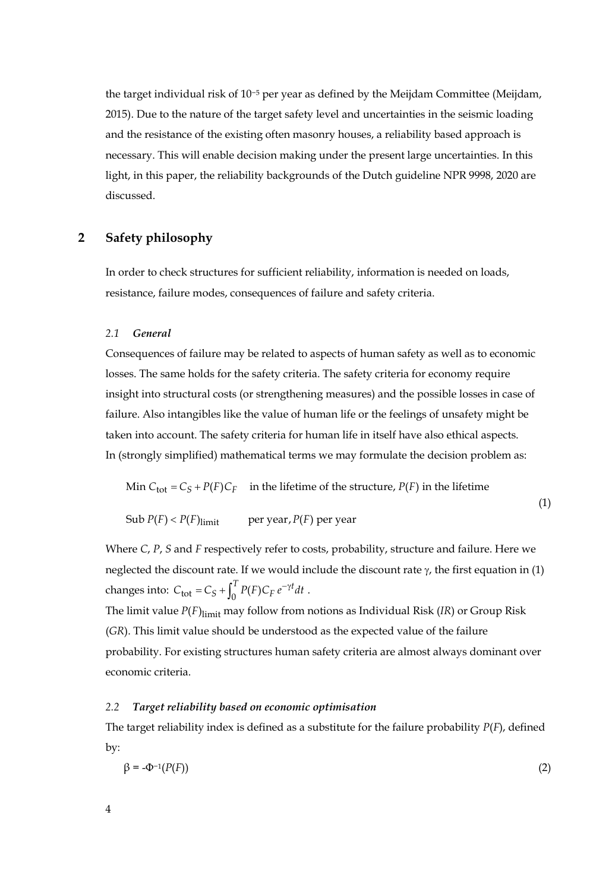the target individual risk of 10−<sup>5</sup> per year as defined by the Meijdam Committee (Meijdam, 2015). Due to the nature of the target safety level and uncertainties in the seismic loading and the resistance of the existing often masonry houses, a reliability based approach is necessary. This will enable decision making under the present large uncertainties. In this light, in this paper, the reliability backgrounds of the Dutch guideline NPR 9998, 2020 are discussed.

# **2 Safety philosophy**

In order to check structures for sufficient reliability, information is needed on loads, resistance, failure modes, consequences of failure and safety criteria.

#### *2.1 General*

Consequences of failure may be related to aspects of human safety as well as to economic losses. The same holds for the safety criteria. The safety criteria for economy require insight into structural costs (or strengthening measures) and the possible losses in case of failure. Also intangibles like the value of human life or the feelings of unsafety might be taken into account. The safety criteria for human life in itself have also ethical aspects. In (strongly simplified) mathematical terms we may formulate the decision problem as:

Min 
$$
C_{\text{tot}} = C_S + P(F)C_F
$$
 in the lifetime of the structure,  $P(F)$  in the lifetime

Sub  $P(F) < P(F)$ <sub>limit</sub> per year,  $P(F)$  per year

Where *C*, *P*, *S* and *F* respectively refer to costs, probability, structure and failure. Here we neglected the discount rate. If we would include the discount rate  $\gamma$ , the first equation in (1) changes into:  $C_{\text{tot}} = C_S + \int_0^T P(F) C_F e^{-\gamma t} dt$ .

(1)

The limit value  $P(F)_{\text{limit}}$  may follow from notions as Individual Risk (*IR*) or Group Risk (*GR*). This limit value should be understood as the expected value of the failure probability. For existing structures human safety criteria are almost always dominant over economic criteria.

#### *2.2 Target reliability based on economic optimisation*

The target reliability index is defined as a substitute for the failure probability *P*(*F*), defined by:

$$
\beta = -\Phi^{-1}(P(F))\tag{2}
$$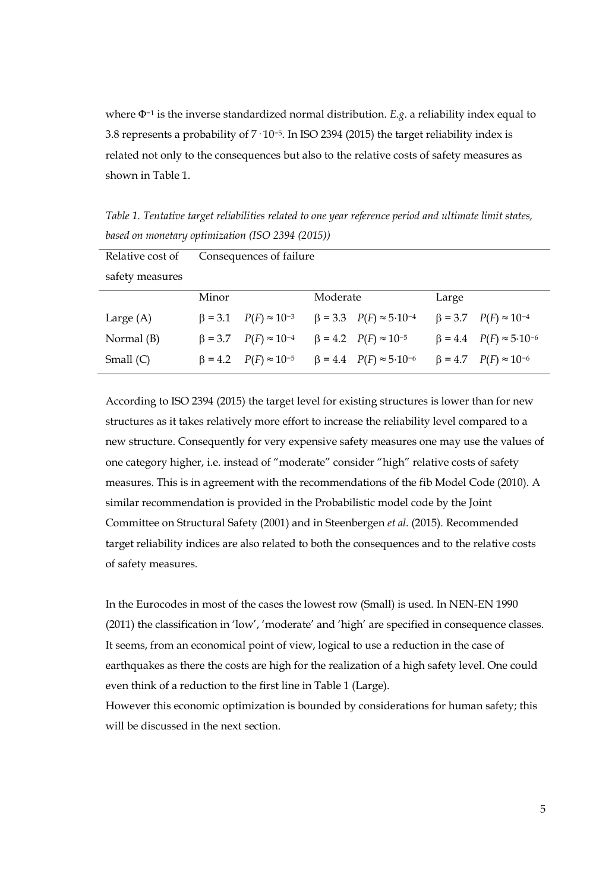where Φ−<sup>1</sup> is the inverse standardized normal distribution. *E.g.* a reliability index equal to 3.8 represents a probability of 7· 10−5. In ISO 2394 (2015) the target reliability index is related not only to the consequences but also to the relative costs of safety measures as shown in Table 1.

| Relative cost of | Consequences of failure |                                      |          |                                        |       |                                        |  |  |
|------------------|-------------------------|--------------------------------------|----------|----------------------------------------|-------|----------------------------------------|--|--|
| safety measures  |                         |                                      |          |                                        |       |                                        |  |  |
|                  | Minor                   |                                      | Moderate |                                        | Large |                                        |  |  |
| Large (A)        |                         | $\beta = 3.1$ $P(F) \approx 10^{-3}$ |          | $\beta = 3.3$ $P(F) \approx 5.10^{-4}$ |       | $\beta = 3.7$ $P(F) \approx 10^{-4}$   |  |  |
| Normal (B)       |                         | $\beta = 3.7$ $P(F) \approx 10^{-4}$ |          | $\beta = 4.2$ $P(F) \approx 10^{-5}$   |       | $\beta = 4.4$ $P(F) \approx 5.10^{-6}$ |  |  |
| Small $(C)$      |                         | $\beta = 4.2$ $P(F) \approx 10^{-5}$ |          | $\beta = 4.4$ $P(F) \approx 5.10^{-6}$ |       | $\beta = 4.7$ $P(F) \approx 10^{-6}$   |  |  |

*Table 1. Tentative target reliabilities related to one year reference period and ultimate limit states, based on monetary optimization (ISO 2394 (2015))*

According to ISO 2394 (2015) the target level for existing structures is lower than for new structures as it takes relatively more effort to increase the reliability level compared to a new structure. Consequently for very expensive safety measures one may use the values of one category higher, i.e. instead of "moderate" consider "high" relative costs of safety measures. This is in agreement with the recommendations of the fib Model Code (2010). A similar recommendation is provided in the Probabilistic model code by the Joint Committee on Structural Safety (2001) and in Steenbergen *et al*. (2015). Recommended target reliability indices are also related to both the consequences and to the relative costs of safety measures.

In the Eurocodes in most of the cases the lowest row (Small) is used. In NEN-EN 1990 (2011) the classification in 'low', 'moderate' and 'high' are specified in consequence classes. It seems, from an economical point of view, logical to use a reduction in the case of earthquakes as there the costs are high for the realization of a high safety level. One could even think of a reduction to the first line in Table 1 (Large). However this economic optimization is bounded by considerations for human safety; this will be discussed in the next section.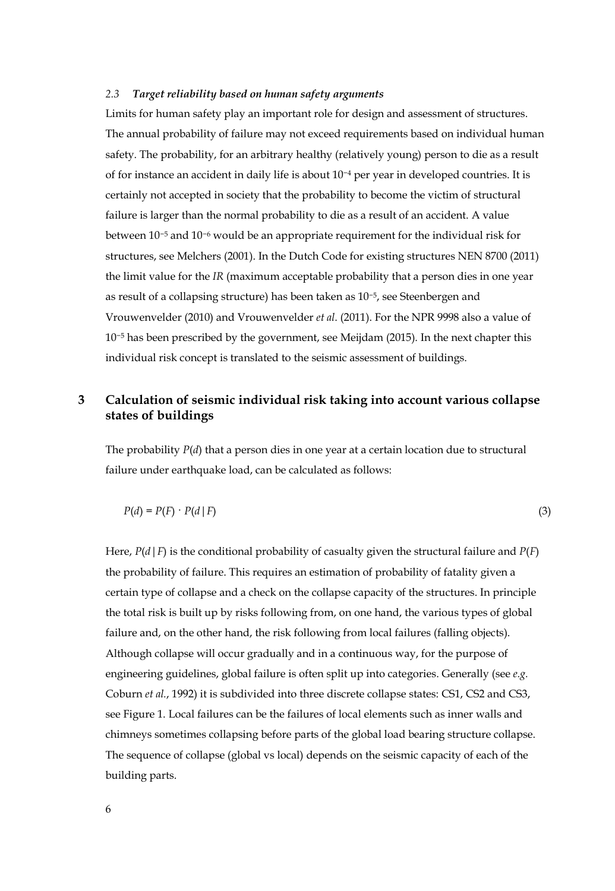# *2.3 Target reliability based on human safety arguments*

Limits for human safety play an important role for design and assessment of structures. The annual probability of failure may not exceed requirements based on individual human safety. The probability, for an arbitrary healthy (relatively young) person to die as a result of for instance an accident in daily life is about 10−<sup>4</sup> per year in developed countries. It is certainly not accepted in society that the probability to become the victim of structural failure is larger than the normal probability to die as a result of an accident. A value between 10−<sup>5</sup> and 10−<sup>6</sup> would be an appropriate requirement for the individual risk for structures, see Melchers (2001). In the Dutch Code for existing structures NEN 8700 (2011) the limit value for the *IR* (maximum acceptable probability that a person dies in one year as result of a collapsing structure) has been taken as 10−5, see Steenbergen and Vrouwenvelder (2010) and Vrouwenvelder *et al*. (2011). For the NPR 9998 also a value of 10−<sup>5</sup> has been prescribed by the government, see Meijdam (2015). In the next chapter this individual risk concept is translated to the seismic assessment of buildings.

# **3 Calculation of seismic individual risk taking into account various collapse states of buildings**

The probability  $P(d)$  that a person dies in one year at a certain location due to structural failure under earthquake load, can be calculated as follows:

$$
P(d) = P(F) \cdot P(d \mid F) \tag{3}
$$

Here,  $P(d | F)$  is the conditional probability of casualty given the structural failure and  $P(F)$ the probability of failure. This requires an estimation of probability of fatality given a certain type of collapse and a check on the collapse capacity of the structures. In principle the total risk is built up by risks following from, on one hand, the various types of global failure and, on the other hand, the risk following from local failures (falling objects). Although collapse will occur gradually and in a continuous way, for the purpose of engineering guidelines, global failure is often split up into categories. Generally (see *e.g.* Coburn *et al.*, 1992) it is subdivided into three discrete collapse states: CS1, CS2 and CS3, see Figure 1. Local failures can be the failures of local elements such as inner walls and chimneys sometimes collapsing before parts of the global load bearing structure collapse. The sequence of collapse (global vs local) depends on the seismic capacity of each of the building parts.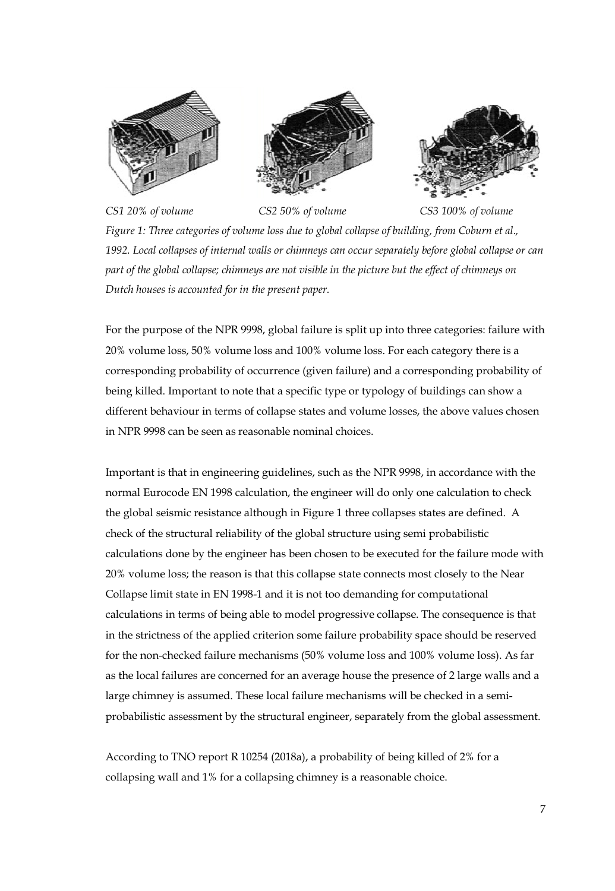





*CS1 20% of volume CS2 50% of volume CS3 100% of volume*

*Figure 1: Three categories of volume loss due to global collapse of building, from Coburn et al., 1992. Local collapses of internal walls or chimneys can occur separately before global collapse or can part of the global collapse; chimneys are not visible in the picture but the effect of chimneys on Dutch houses is accounted for in the present paper.*

For the purpose of the NPR 9998, global failure is split up into three categories: failure with 20% volume loss, 50% volume loss and 100% volume loss. For each category there is a corresponding probability of occurrence (given failure) and a corresponding probability of being killed. Important to note that a specific type or typology of buildings can show a different behaviour in terms of collapse states and volume losses, the above values chosen in NPR 9998 can be seen as reasonable nominal choices.

Important is that in engineering guidelines, such as the NPR 9998, in accordance with the normal Eurocode EN 1998 calculation, the engineer will do only one calculation to check the global seismic resistance although in Figure 1 three collapses states are defined. A check of the structural reliability of the global structure using semi probabilistic calculations done by the engineer has been chosen to be executed for the failure mode with 20% volume loss; the reason is that this collapse state connects most closely to the Near Collapse limit state in EN 1998-1 and it is not too demanding for computational calculations in terms of being able to model progressive collapse. The consequence is that in the strictness of the applied criterion some failure probability space should be reserved for the non-checked failure mechanisms (50% volume loss and 100% volume loss). As far as the local failures are concerned for an average house the presence of 2 large walls and a large chimney is assumed. These local failure mechanisms will be checked in a semiprobabilistic assessment by the structural engineer, separately from the global assessment.

According to TNO report R 10254 (2018a), a probability of being killed of 2% for a collapsing wall and 1% for a collapsing chimney is a reasonable choice.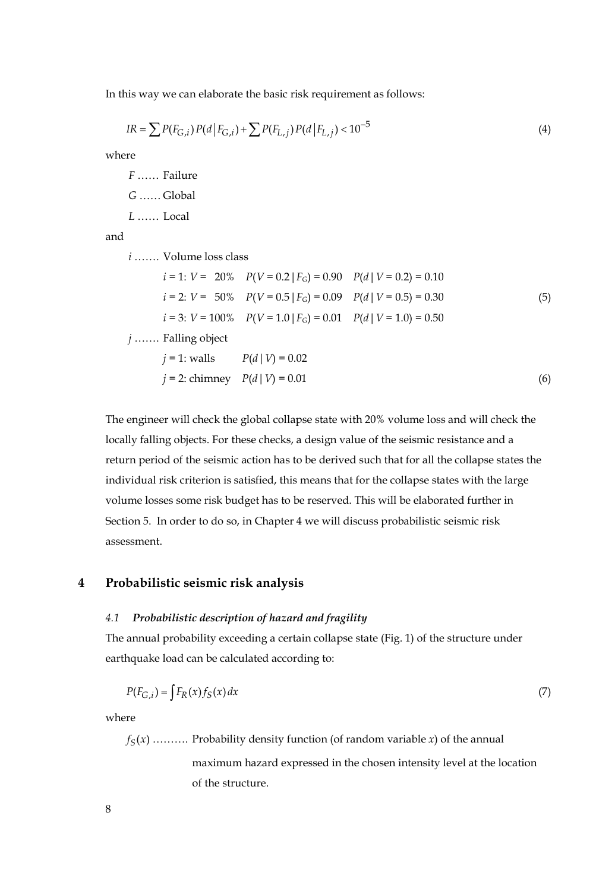In this way we can elaborate the basic risk requirement as follows:

$$
IR = \sum P(F_{G,i}) P(d | F_{G,i}) + \sum P(F_{L,j}) P(d | F_{L,j}) < 10^{-5} \tag{4}
$$

where

*F* …… Failure *G* …… Global

*L* …… Local

and

*i* ……. Volume loss class

*i* = 1: *V* = 20% 
$$
P(V = 0.2 | F_G) = 0.90
$$
  $P(d | V = 0.2) = 0.10$   
\n*i* = 2: *V* = 50%  $P(V = 0.5 | F_G) = 0.09$   $P(d | V = 0.5) = 0.30$    
\n*i* = 3: *V* = 100%  $P(V = 1.0 | F_G) = 0.01$   $P(d | V = 1.0) = 0.50$   
\n*j* ..... Falling object  
\n*j* = 1: walls  $P(d | V) = 0.02$   
\n*j* = 2: chimpan  $P(d | V) = 0.01$  (6)

The engineer will check the global collapse state with 20% volume loss and will check the locally falling objects. For these checks, a design value of the seismic resistance and a return period of the seismic action has to be derived such that for all the collapse states the individual risk criterion is satisfied, this means that for the collapse states with the large volume losses some risk budget has to be reserved. This will be elaborated further in Section 5. In order to do so, in Chapter 4 we will discuss probabilistic seismic risk assessment.

### **4 Probabilistic seismic risk analysis**

#### *4.1 Probabilistic description of hazard and fragility*

The annual probability exceeding a certain collapse state (Fig. 1) of the structure under earthquake load can be calculated according to:

$$
P(F_{G,i}) = \int F_R(x) f_S(x) dx \tag{7}
$$

where

 $f_S(x)$  .......... Probability density function (of random variable *x*) of the annual

maximum hazard expressed in the chosen intensity level at the location of the structure.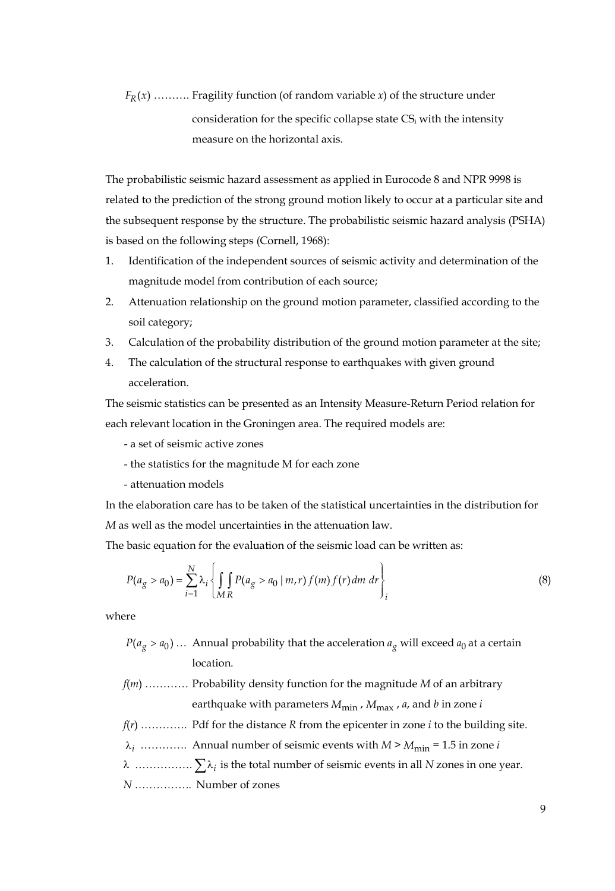$F_R(x)$  .......... Fragility function (of random variable *x*) of the structure under consideration for the specific collapse state CSi with the intensity measure on the horizontal axis.

The probabilistic seismic hazard assessment as applied in Eurocode 8 and NPR 9998 is related to the prediction of the strong ground motion likely to occur at a particular site and the subsequent response by the structure. The probabilistic seismic hazard analysis (PSHA) is based on the following steps (Cornell, 1968):

- 1. Identification of the independent sources of seismic activity and determination of the magnitude model from contribution of each source;
- 2. Attenuation relationship on the ground motion parameter, classified according to the soil category;
- 3. Calculation of the probability distribution of the ground motion parameter at the site;
- 4. The calculation of the structural response to earthquakes with given ground acceleration.

The seismic statistics can be presented as an Intensity Measure-Return Period relation for each relevant location in the Groningen area. The required models are:

- a set of seismic active zones
- the statistics for the magnitude M for each zone
- attenuation models

In the elaboration care has to be taken of the statistical uncertainties in the distribution for *M* as well as the model uncertainties in the attenuation law.

The basic equation for the evaluation of the seismic load can be written as:

$$
P(a_g > a_0) = \sum_{i=1}^{N} \lambda_i \left\{ \int_{MR} P(a_g > a_0 \mid m, r) f(m) f(r) dm \, dr \right\}_i
$$
 (8)

where

 $P(a_g > a_0)$  ... Annual probability that the acceleration  $a_g$  will exceed  $a_0$  at a certain location.

- *f*(*m*) ………… Probability density function for the magnitude *M* of an arbitrary earthquake with parameters  $M_{\text{min}}$ ,  $M_{\text{max}}$ ,  $a$ , and  $b$  in zone  $i$
- *f*(*r*) …………. Pdf for the distance *R* from the epicenter in zone *i* to the building site.
- $\lambda_i$  ………….. Annual number of seismic events with *M* >  $M_{\text{min}}$  = 1.5 in zone *i*
- <sup>λ</sup> ……………. ∑λ*<sup>i</sup>* is the total number of seismic events in all *<sup>N</sup>* zones in one year.

*N …………….* Number of zones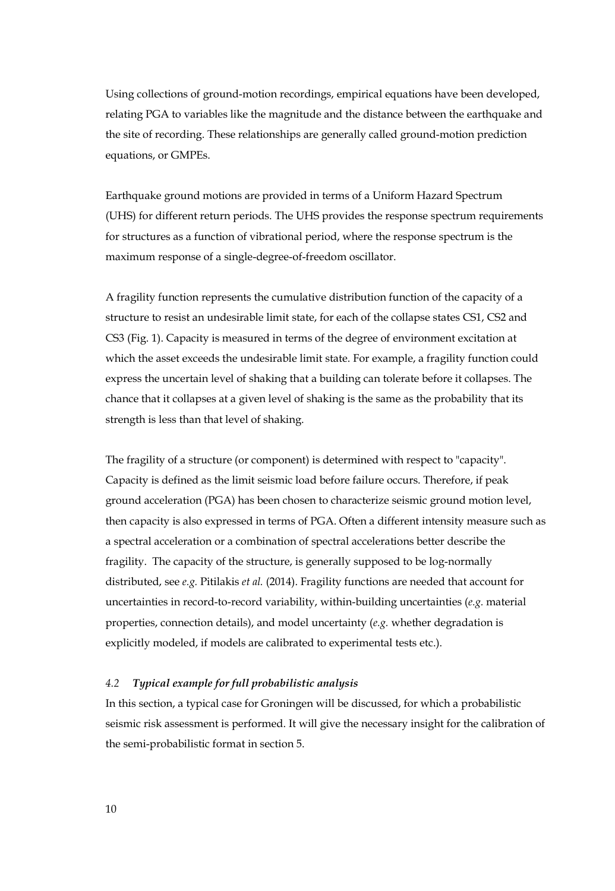Using collections of ground-motion recordings, empirical equations have been developed, relating PGA to variables like the magnitude and the distance between the earthquake and the site of recording. These relationships are generally called ground-motion prediction equations, or GMPEs.

Earthquake ground motions are provided in terms of a Uniform Hazard Spectrum (UHS) for different return periods. The UHS provides the response spectrum requirements for structures as a function of vibrational period, where the response spectrum is the maximum response of a single-degree-of-freedom oscillator.

A fragility function represents the cumulative distribution function of the capacity of a structure to resist an undesirable limit state, for each of the collapse states CS1, CS2 and CS3 (Fig. 1). Capacity is measured in terms of the degree of environment excitation at which the asset exceeds the undesirable limit state. For example, a fragility function could express the uncertain level of shaking that a building can tolerate before it collapses. The chance that it collapses at a given level of shaking is the same as the probability that its strength is less than that level of shaking.

The fragility of a structure (or component) is determined with respect to "capacity". Capacity is defined as the limit seismic load before failure occurs. Therefore, if peak ground acceleration (PGA) has been chosen to characterize seismic ground motion level, then capacity is also expressed in terms of PGA. Often a different intensity measure such as a spectral acceleration or a combination of spectral accelerations better describe the fragility. The capacity of the structure, is generally supposed to be log-normally distributed, see *e.g.* Pitilakis *et al.* (2014). Fragility functions are needed that account for uncertainties in record-to-record variability, within-building uncertainties (*e.g.* material properties, connection details), and model uncertainty (*e.g.* whether degradation is explicitly modeled, if models are calibrated to experimental tests etc.).

#### *4.2 Typical example for full probabilistic analysis*

In this section, a typical case for Groningen will be discussed, for which a probabilistic seismic risk assessment is performed. It will give the necessary insight for the calibration of the semi-probabilistic format in section 5.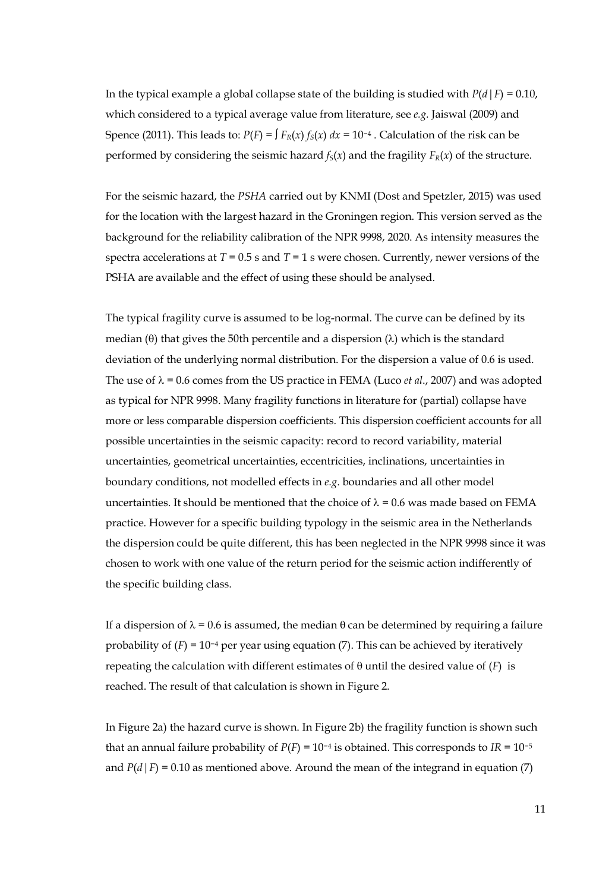In the typical example a global collapse state of the building is studied with  $P(d|F) = 0.10$ , which considered to a typical average value from literature, see *e.g.* Jaiswal (2009) and Spence (2011). This leads to:  $P(F) = \int F_R(x) f_S(x) dx = 10^{-4}$ . Calculation of the risk can be performed by considering the seismic hazard  $f_S(x)$  and the fragility  $F_R(x)$  of the structure.

For the seismic hazard, the *PSHA* carried out by KNMI (Dost and Spetzler, 2015) was used for the location with the largest hazard in the Groningen region. This version served as the background for the reliability calibration of the NPR 9998, 2020. As intensity measures the spectra accelerations at *T* = 0.5 s and *T* = 1 s were chosen. Currently, newer versions of the PSHA are available and the effect of using these should be analysed.

The typical fragility curve is assumed to be log-normal. The curve can be defined by its median (θ) that gives the 50th percentile and a dispersion  $(\lambda)$  which is the standard deviation of the underlying normal distribution. For the dispersion a value of 0.6 is used. The use of  $\lambda$  = 0.6 comes from the US practice in FEMA (Luco *et al.*, 2007) and was adopted as typical for NPR 9998. Many fragility functions in literature for (partial) collapse have more or less comparable dispersion coefficients. This dispersion coefficient accounts for all possible uncertainties in the seismic capacity: record to record variability, material uncertainties, geometrical uncertainties, eccentricities, inclinations, uncertainties in boundary conditions, not modelled effects in *e.g*. boundaries and all other model uncertainties. It should be mentioned that the choice of  $\lambda = 0.6$  was made based on FEMA practice. However for a specific building typology in the seismic area in the Netherlands the dispersion could be quite different, this has been neglected in the NPR 9998 since it was chosen to work with one value of the return period for the seismic action indifferently of the specific building class.

If a dispersion of  $\lambda = 0.6$  is assumed, the median  $\theta$  can be determined by requiring a failure probability of  $(F) = 10^{-4}$  per year using equation (7). This can be achieved by iteratively repeating the calculation with different estimates of θ until the desired value of (*F*) is reached. The result of that calculation is shown in Figure 2.

In Figure 2a) the hazard curve is shown. In Figure 2b) the fragility function is shown such that an annual failure probability of  $P(F) = 10^{-4}$  is obtained. This corresponds to  $IR = 10^{-5}$ and  $P(d|F) = 0.10$  as mentioned above. Around the mean of the integrand in equation (7)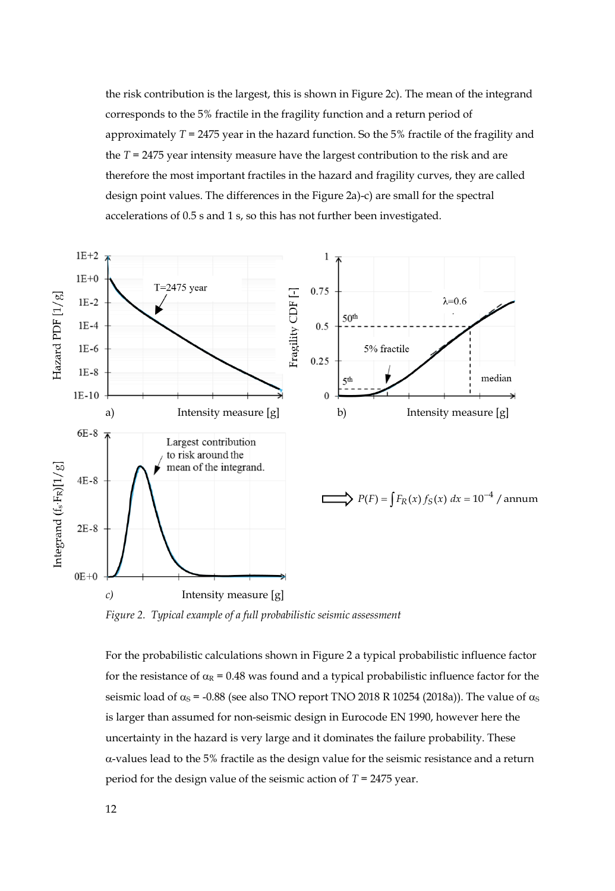the risk contribution is the largest, this is shown in Figure 2c). The mean of the integrand corresponds to the 5% fractile in the fragility function and a return period of approximately *T* = 2475 year in the hazard function. So the 5% fractile of the fragility and the *T* = 2475 year intensity measure have the largest contribution to the risk and are therefore the most important fractiles in the hazard and fragility curves, they are called design point values. The differences in the Figure 2a)-c) are small for the spectral accelerations of 0.5 s and 1 s, so this has not further been investigated.



*Figure 2. Typical example of a full probabilistic seismic assessment*

For the probabilistic calculations shown in Figure 2 a typical probabilistic influence factor for the resistance of  $\alpha_R = 0.48$  was found and a typical probabilistic influence factor for the seismic load of  $\alpha_s$  = -0.88 (see also TNO report TNO 2018 R 10254 (2018a)). The value of  $\alpha_s$ is larger than assumed for non-seismic design in Eurocode EN 1990, however here the uncertainty in the hazard is very large and it dominates the failure probability. These α-values lead to the 5% fractile as the design value for the seismic resistance and a return period for the design value of the seismic action of *T* = 2475 year.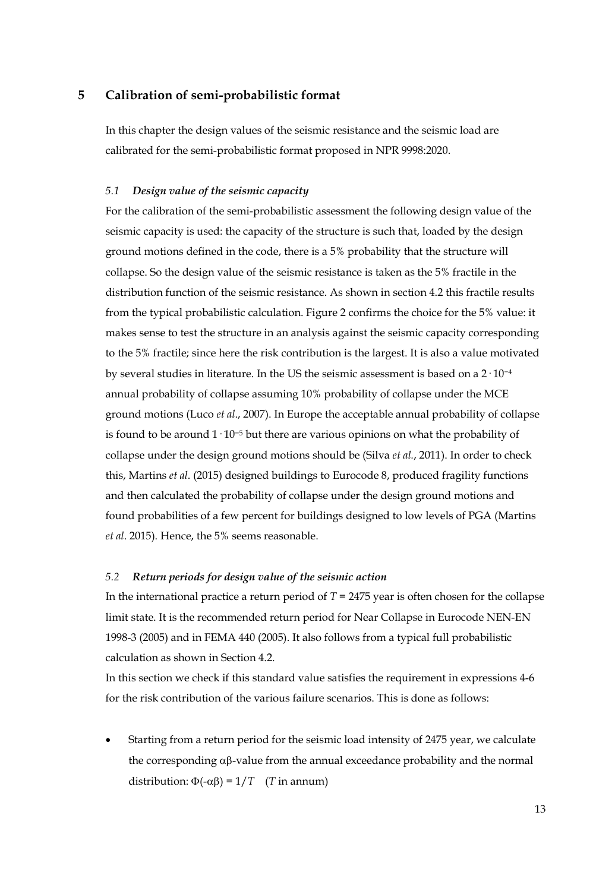# **5 Calibration of semi-probabilistic format**

In this chapter the design values of the seismic resistance and the seismic load are calibrated for the semi-probabilistic format proposed in NPR 9998:2020.

#### *5.1 Design value of the seismic capacity*

For the calibration of the semi-probabilistic assessment the following design value of the seismic capacity is used: the capacity of the structure is such that, loaded by the design ground motions defined in the code, there is a 5% probability that the structure will collapse. So the design value of the seismic resistance is taken as the 5% fractile in the distribution function of the seismic resistance. As shown in section 4.2 this fractile results from the typical probabilistic calculation. Figure 2 confirms the choice for the 5% value: it makes sense to test the structure in an analysis against the seismic capacity corresponding to the 5% fractile; since here the risk contribution is the largest. It is also a value motivated by several studies in literature. In the US the seismic assessment is based on a 2· 10−<sup>4</sup> annual probability of collapse assuming 10% probability of collapse under the MCE ground motions (Luco *et al*., 2007). In Europe the acceptable annual probability of collapse is found to be around 1· 10−<sup>5</sup> but there are various opinions on what the probability of collapse under the design ground motions should be (Silva *et al.*, 2011). In order to check this, Martins *et al*. (2015) designed buildings to Eurocode 8, produced fragility functions and then calculated the probability of collapse under the design ground motions and found probabilities of a few percent for buildings designed to low levels of PGA (Martins *et al*. 2015). Hence, the 5% seems reasonable.

# *5.2 Return periods for design value of the seismic action*

In the international practice a return period of *T* = 2475 year is often chosen for the collapse limit state. It is the recommended return period for Near Collapse in Eurocode NEN-EN 1998-3 (2005) and in FEMA 440 (2005). It also follows from a typical full probabilistic calculation as shown in Section 4.2.

In this section we check if this standard value satisfies the requirement in expressions 4-6 for the risk contribution of the various failure scenarios. This is done as follows:

• Starting from a return period for the seismic load intensity of 2475 year, we calculate the corresponding αβ-value from the annual exceedance probability and the normal distribution:  $Φ(-αβ) = 1/T$  (*T* in annum)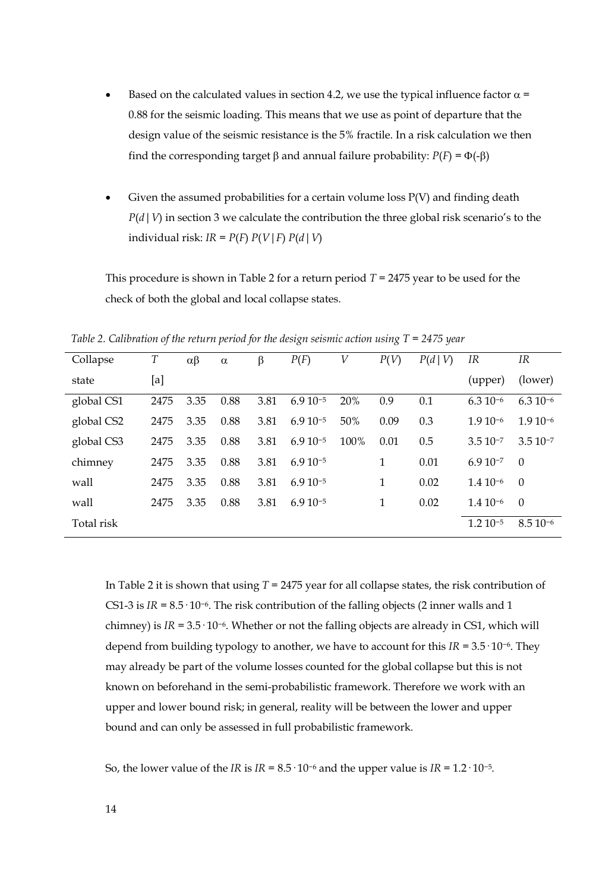- Based on the calculated values in section 4.2, we use the typical influence factor  $\alpha$  = 0.88 for the seismic loading. This means that we use as point of departure that the design value of the seismic resistance is the 5% fractile. In a risk calculation we then find the corresponding target β and annual failure probability: *P*(*F*) = Φ(-β)
- Given the assumed probabilities for a certain volume loss  $P(V)$  and finding death *P*(*d*|*V*) in section 3 we calculate the contribution the three global risk scenario's to the individual risk:  $IR = P(F) P(V | F) P(d | V)$

This procedure is shown in Table 2 for a return period *T* = 2475 year to be used for the check of both the global and local collapse states.

| Collapse   | Т    | $\alpha\beta$ | $\alpha$ | β    | P(F)         | V    | P(V) | P(d V) | IR           | IR           |
|------------|------|---------------|----------|------|--------------|------|------|--------|--------------|--------------|
| state      | [a]  |               |          |      |              |      |      |        | (upper)      | (lower)      |
| global CS1 | 2475 | 3.35          | 0.88     | 3.81 | $6.910^{-5}$ | 20%  | 0.9  | 0.1    | $6.310^{-6}$ | $6.310^{-6}$ |
| global CS2 | 2475 | 3.35          | 0.88     | 3.81 | $6.910^{-5}$ | 50%  | 0.09 | 0.3    | $1.910^{-6}$ | $1.910^{-6}$ |
| global CS3 | 2475 | 3.35          | 0.88     | 3.81 | $6.910^{-5}$ | 100% | 0.01 | 0.5    | $3.510^{-7}$ | $3.510^{-7}$ |
| chimney    | 2475 | 3.35          | 0.88     | 3.81 | $6.910^{-5}$ |      | 1    | 0.01   | $6.910^{-7}$ | $\Omega$     |
| wall       | 2475 | 3.35          | 0.88     | 3.81 | $6.910^{-5}$ |      | 1    | 0.02   | $1.410^{-6}$ | $\theta$     |
| wall       | 2475 | 3.35          | 0.88     | 3.81 | $6.910^{-5}$ |      | 1    | 0.02   | $1.410^{-6}$ | $\Omega$     |
| Total risk |      |               |          |      |              |      |      |        | $1.210^{-5}$ | $8.510^{-6}$ |

*Table 2. Calibration of the return period for the design seismic action using T = 2475 year*

In Table 2 it is shown that using *T* = 2475 year for all collapse states, the risk contribution of CS1-3 is *IR* = 8.5· 10−6. The risk contribution of the falling objects (2 inner walls and 1 chimney) is *IR* = 3.5· 10−6. Whether or not the falling objects are already in CS1, which will depend from building typology to another, we have to account for this *IR* = 3.5· 10−6. They may already be part of the volume losses counted for the global collapse but this is not known on beforehand in the semi-probabilistic framework. Therefore we work with an upper and lower bound risk; in general, reality will be between the lower and upper bound and can only be assessed in full probabilistic framework.

So, the lower value of the *IR* is  $IR = 8.5 \cdot 10^{-6}$  and the upper value is  $IR = 1.2 \cdot 10^{-5}$ .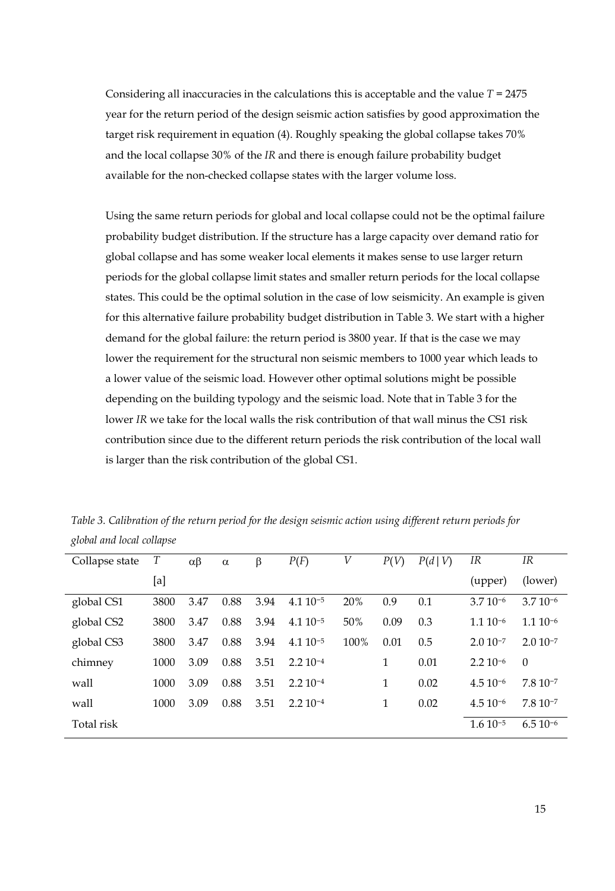Considering all inaccuracies in the calculations this is acceptable and the value *T* = 2475 year for the return period of the design seismic action satisfies by good approximation the target risk requirement in equation (4). Roughly speaking the global collapse takes 70% and the local collapse 30% of the *IR* and there is enough failure probability budget available for the non-checked collapse states with the larger volume loss.

Using the same return periods for global and local collapse could not be the optimal failure probability budget distribution. If the structure has a large capacity over demand ratio for global collapse and has some weaker local elements it makes sense to use larger return periods for the global collapse limit states and smaller return periods for the local collapse states. This could be the optimal solution in the case of low seismicity. An example is given for this alternative failure probability budget distribution in Table 3. We start with a higher demand for the global failure: the return period is 3800 year. If that is the case we may lower the requirement for the structural non seismic members to 1000 year which leads to a lower value of the seismic load. However other optimal solutions might be possible depending on the building typology and the seismic load. Note that in Table 3 for the lower *IR* we take for the local walls the risk contribution of that wall minus the CS1 risk contribution since due to the different return periods the risk contribution of the local wall is larger than the risk contribution of the global CS1.

| Collapse state | T    | $\alpha\beta$ | $\alpha$ | β    | P(F)         | V    | P(V) | P(d V) | IR           | IR           |
|----------------|------|---------------|----------|------|--------------|------|------|--------|--------------|--------------|
|                | [a]  |               |          |      |              |      |      |        | (upper)      | (lower)      |
| global CS1     | 3800 | 3.47          | 0.88     | 3.94 | $4.110^{-5}$ | 20%  | 0.9  | 0.1    | $3.710^{-6}$ | $3.710^{-6}$ |
| global CS2     | 3800 | 3.47          | 0.88     | 3.94 | $4.110^{-5}$ | 50%  | 0.09 | 0.3    | $1.110^{-6}$ | $1.110^{-6}$ |
| global CS3     | 3800 | 3.47          | 0.88     | 3.94 | $4.110^{-5}$ | 100% | 0.01 | 0.5    | $2.010^{-7}$ | $2.010^{-7}$ |
| chimney        | 1000 | 3.09          | 0.88     | 3.51 | $2.210^{-4}$ |      | 1    | 0.01   | $2.210^{-6}$ | $\theta$     |
| wall           | 1000 | 3.09          | 0.88     | 3.51 | $2.210^{-4}$ |      | 1    | 0.02   | $4.510^{-6}$ | $7.810^{-7}$ |
| wall           | 1000 | 3.09          | 0.88     | 3.51 | $2.210 - 4$  |      | 1    | 0.02   | $4.510^{-6}$ | $7.810 - 7$  |
| Total risk     |      |               |          |      |              |      |      |        | $1.610^{-5}$ | $6.510^{-6}$ |

*Table 3. Calibration of the return period for the design seismic action using different return periods for global and local collapse*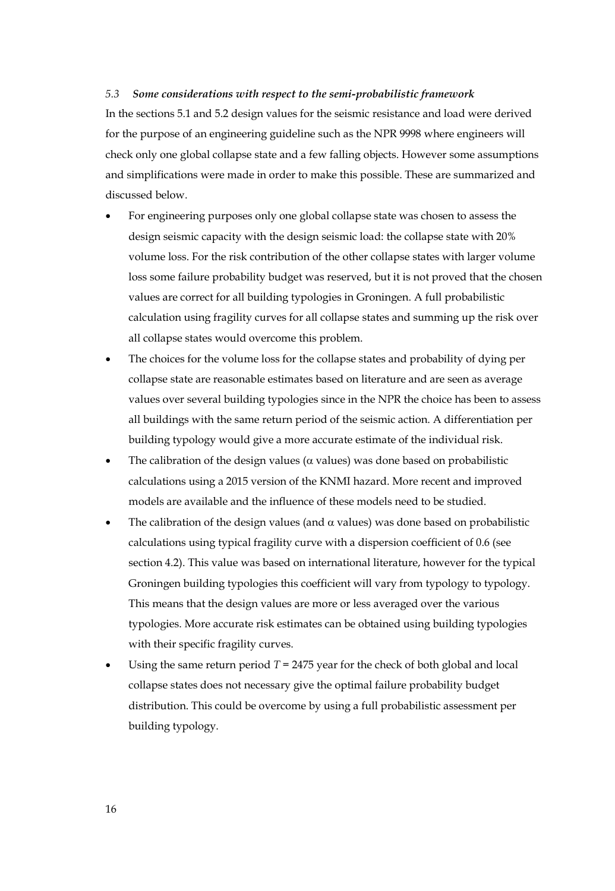# *5.3 Some considerations with respect to the semi-probabilistic framework*

In the sections 5.1 and 5.2 design values for the seismic resistance and load were derived for the purpose of an engineering guideline such as the NPR 9998 where engineers will check only one global collapse state and a few falling objects. However some assumptions and simplifications were made in order to make this possible. These are summarized and discussed below.

- For engineering purposes only one global collapse state was chosen to assess the design seismic capacity with the design seismic load: the collapse state with 20% volume loss. For the risk contribution of the other collapse states with larger volume loss some failure probability budget was reserved, but it is not proved that the chosen values are correct for all building typologies in Groningen. A full probabilistic calculation using fragility curves for all collapse states and summing up the risk over all collapse states would overcome this problem.
- The choices for the volume loss for the collapse states and probability of dying per collapse state are reasonable estimates based on literature and are seen as average values over several building typologies since in the NPR the choice has been to assess all buildings with the same return period of the seismic action. A differentiation per building typology would give a more accurate estimate of the individual risk.
- The calibration of the design values ( $\alpha$  values) was done based on probabilistic calculations using a 2015 version of the KNMI hazard. More recent and improved models are available and the influence of these models need to be studied.
- The calibration of the design values (and  $\alpha$  values) was done based on probabilistic calculations using typical fragility curve with a dispersion coefficient of 0.6 (see section 4.2). This value was based on international literature, however for the typical Groningen building typologies this coefficient will vary from typology to typology. This means that the design values are more or less averaged over the various typologies. More accurate risk estimates can be obtained using building typologies with their specific fragility curves.
- Using the same return period  $T = 2475$  year for the check of both global and local collapse states does not necessary give the optimal failure probability budget distribution. This could be overcome by using a full probabilistic assessment per building typology.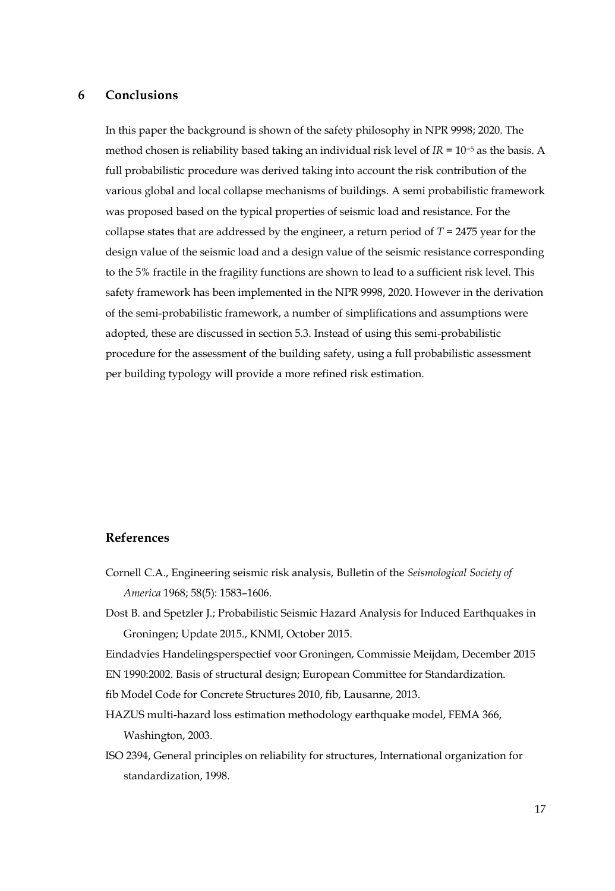# **6 Conclusions**

In this paper the background is shown of the safety philosophy in NPR 9998; 2020. The method chosen is reliability based taking an individual risk level of *IR* = 10−<sup>5</sup> as the basis. A full probabilistic procedure was derived taking into account the risk contribution of the various global and local collapse mechanisms of buildings. A semi probabilistic framework was proposed based on the typical properties of seismic load and resistance. For the collapse states that are addressed by the engineer, a return period of *T* = 2475 year for the design value of the seismic load and a design value of the seismic resistance corresponding to the 5% fractile in the fragility functions are shown to lead to a sufficient risk level. This safety framework has been implemented in the NPR 9998, 2020. However in the derivation of the semi-probabilistic framework, a number of simplifications and assumptions were adopted, these are discussed in section 5.3. Instead of using this semi-probabilistic procedure for the assessment of the building safety, using a full probabilistic assessment per building typology will provide a more refined risk estimation.

# **References**

- Cornell C.A., Engineering seismic risk analysis, Bulletin of the *Seismological Society of America* 1968; 58(5): 1583–1606.
- Dost B. and Spetzler J.; Probabilistic Seismic Hazard Analysis for Induced Earthquakes in Groningen; Update 2015., KNMI, October 2015.

Eindadvies Handelingsperspectief voor Groningen, Commissie Meijdam, December 2015

EN 1990:2002. Basis of structural design; European Committee for Standardization.

fib Model Code for Concrete Structures 2010, fib, Lausanne, 2013.

- HAZUS multi-hazard loss estimation methodology earthquake model, FEMA 366, Washington, 2003.
- ISO 2394, General principles on reliability for structures, International organization for standardization, 1998.